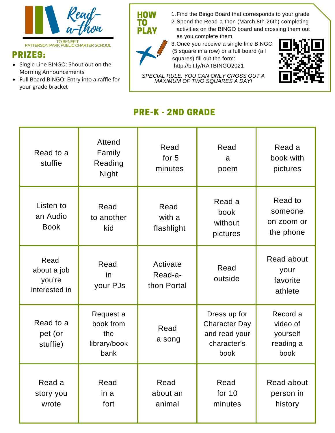

## PRIZES:

- Single Line BINGO: Shout out on the Morning Announcements
- Full Board BINGO: Entry into a raffle for your grade bracket

1.Find the Bingo Board that corresponds to your grade

2.Spend the Read-a-thon (March 8th-26th) completing activities on the BINGO board and crossing them out as you complete them.

Once you receive a single line BINGO 3. (5 square in a row) or a full board (all squares) fill out the form: http://bit.ly/RATBINGO2021



*SPECIAL RULE: YOU CAN ONLY CROSS OUT A MAXIMUM OF TWO SQUARES A DAY!*

## PRE-K - 2ND GRADE

**HOW** TO PLAY

| Read to a<br>stuffie                           | Attend<br>Family<br>Reading<br><b>Night</b>           | Read<br>for 5<br>minutes           | Read<br>a<br>poem                                                            | Read a<br>book with<br>pictures                       |
|------------------------------------------------|-------------------------------------------------------|------------------------------------|------------------------------------------------------------------------------|-------------------------------------------------------|
| Listen to<br>an Audio<br><b>Book</b>           | Read<br>to another<br>kid                             | Read<br>with a<br>flashlight       | Read a<br>book<br>without<br>pictures                                        | Read to<br>someone<br>on zoom or<br>the phone         |
| Read<br>about a job<br>you're<br>interested in | Read<br>in<br>your PJs                                | Activate<br>Read-a-<br>thon Portal | Read<br>outside                                                              | Read about<br>your<br>favorite<br>athlete             |
| Read to a<br>pet (or<br>stuffie)               | Request a<br>book from<br>the<br>library/book<br>bank | Read<br>a song                     | Dress up for<br><b>Character Day</b><br>and read your<br>character's<br>book | Record a<br>video of<br>yourself<br>reading a<br>book |
| Read a<br>story you<br>wrote                   | Read<br>in a<br>fort                                  | Read<br>about an<br>animal         | Read<br>for $10$<br>minutes                                                  | Read about<br>person in<br>history                    |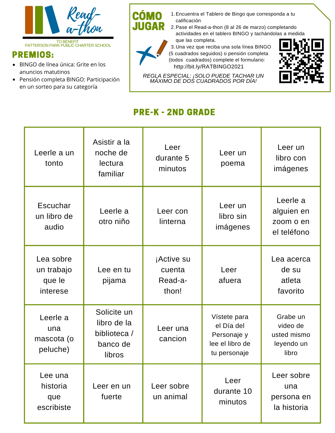

## PREMIOS:

- BINGO de línea única: Grite en los anuncios matutinos
- Pensión completa BINGO: Participación en un sorteo para su categoría
- 1. Encuentra el Tablero de Bingo que corresponda a tu calificación
- 2. Pase el Read-a-thon (8 al 26 de marzo) completando actividades en el tablero BINGO y tachándolas a medida que las completa.



CÓ JUGAR

> 3.Una vez que reciba una sola línea BINGO (5 cuadrados seguidos) o pensión completa (todos cuadrados) complete el formulario: http://bit.ly/RATBINGO2021

*REGLA ESPECIAL: ¡SOLO PUEDE TACHAR UN MÁXIMO DE DOS CUADRADOS POR DÍA!*



## PRE-K - 2ND GRADE

| Leerle a un<br>tonto                          | Asistir a la<br>noche de<br>lectura<br>familiar                  | Leer<br>durante 5<br>minutos             | Leer un<br>poema                                                             | Leer un<br>libro con<br>imágenes                           |  |
|-----------------------------------------------|------------------------------------------------------------------|------------------------------------------|------------------------------------------------------------------------------|------------------------------------------------------------|--|
| Escuchar<br>un libro de<br>audio              | Leerle a<br>otro niño                                            | Leer con<br>linterna                     | Leer un<br>libro sin<br>imágenes                                             | Leerle a<br>alguien en<br>zoom o en<br>el teléfono         |  |
| Lea sobre<br>un trabajo<br>que le<br>interese | Lee en tu<br>pijama                                              | ¡Active su<br>cuenta<br>Read-a-<br>thon! | Leer<br>afuera                                                               | Lea acerca<br>de su<br>atleta<br>favorito                  |  |
| Leerle a<br>una<br>mascota (o<br>peluche)     | Solicite un<br>libro de la<br>biblioteca /<br>banco de<br>libros | Leer una<br>cancion                      | Vístete para<br>el Día del<br>Personaje y<br>lee el libro de<br>tu personaje | Grabe un<br>video de<br>usted mismo<br>leyendo un<br>libro |  |
| Lee una<br>historia<br>que<br>escribiste      | Leer en un<br>fuerte                                             | Leer sobre<br>un animal                  | Leer<br>durante 10<br>minutos                                                | Leer sobre<br>una<br>persona en<br>la historia             |  |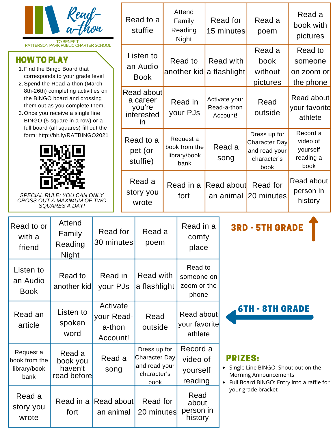| Read-<br>a-thon<br><b>TO BENEFIT</b>                                                                                                                                                                                                                                                                                                          |                                                    |                                              | Read to a<br>stuffie                                 |                                                                       | Attend<br>Family<br>Reading<br>Night               |                                               | Read for<br>15 minutes                   |                  | Read a<br>poem                                                        | Read a<br>book with<br>pictures                       |  |
|-----------------------------------------------------------------------------------------------------------------------------------------------------------------------------------------------------------------------------------------------------------------------------------------------------------------------------------------------|----------------------------------------------------|----------------------------------------------|------------------------------------------------------|-----------------------------------------------------------------------|----------------------------------------------------|-----------------------------------------------|------------------------------------------|------------------|-----------------------------------------------------------------------|-------------------------------------------------------|--|
| PATTERSON PARK PUBLIC CHARTER SCHOOL<br><b>HOW TO PLAY</b><br>1. Find the Bingo Board that<br>corresponds to your grade level<br>2. Spend the Read-a-thon (March                                                                                                                                                                              |                                                    |                                              |                                                      | Listen to<br>an Audio<br><b>Book</b>                                  |                                                    | Read to<br>another kid a flashlight           |                                          | <b>Read with</b> | Read a<br>book<br>without<br>pictures                                 | Read to<br>someone<br>on zoom or<br>the phone         |  |
| 8th-26th) completing activities on<br>the BINGO board and crossing<br>them out as you complete them.<br>3. Once you receive a single line<br>BINGO (5 square in a row) or a<br>full board (all squares) fill out the<br>form: http://bit.ly/RATBINGO2021<br>SPECIAL RULE: YOU CAN ONLY<br>CROSS OUT A MAXIMUM OF TWO<br><b>SQUARES A DAY!</b> |                                                    |                                              | Read about<br>a career<br>you're<br>interested<br>in |                                                                       | Read in<br>your PJs                                |                                               | Activate your<br>Read-a-thon<br>Account! |                  | Read<br>outside                                                       | Read about<br>your favorite<br>athlete                |  |
|                                                                                                                                                                                                                                                                                                                                               |                                                    |                                              | Read to a<br>pet (or<br>stuffie)                     |                                                                       | Request a<br>book from the<br>library/book<br>bank |                                               |                                          | Read a<br>song   | Dress up for<br>Character Day<br>and read your<br>character's<br>book | Record a<br>video of<br>yourself<br>reading a<br>book |  |
|                                                                                                                                                                                                                                                                                                                                               |                                                    |                                              |                                                      | Read a<br>story you<br>wrote                                          |                                                    | fort                                          | Read in a Read about Read for            |                  | an animal 20 minutes                                                  | <b>Read about</b><br>person in<br>history             |  |
| Read to or<br>with a<br>friend                                                                                                                                                                                                                                                                                                                | <b>Attend</b><br>Family<br>Reading<br><b>Night</b> | Read for<br>30 minutes                       |                                                      | Read a<br>poem                                                        |                                                    | Read in a<br>comfy<br>place                   |                                          |                  | <b>3RD - 5TH GRADE</b>                                                |                                                       |  |
| Listen to<br>an Audio<br><b>Book</b>                                                                                                                                                                                                                                                                                                          | Read to<br>another kid                             | Read in<br>your PJs                          | Read with<br>a flashlight                            |                                                                       |                                                    | Read to<br>someone on<br>zoom or the<br>phone |                                          |                  |                                                                       |                                                       |  |
| Read an<br>article                                                                                                                                                                                                                                                                                                                            | Listen to<br>spoken<br>word                        | Activate<br>your Read-<br>a-thon<br>Account! |                                                      | Read<br>outside                                                       |                                                    | Read about<br>your favorite<br>athlete        |                                          |                  | <b>6TH - 8TH GRADE</b>                                                |                                                       |  |
| Request a<br>book from the<br>library/book<br>bank                                                                                                                                                                                                                                                                                            | Read a<br>book you<br>haven't<br>read before       | Read a<br>song                               |                                                      | Dress up for<br>Character Day<br>and read your<br>character's<br>book |                                                    | Record a<br>video of<br>yourself<br>reading   |                                          | <b>PRIZES:</b>   | Single Line BINGO: Shout out on the<br>Morning Announcements          | Full Board BINGO: Entry into a raffle for             |  |
| Read a<br>story you<br>wrote                                                                                                                                                                                                                                                                                                                  | Read in a Read about<br>fort                       | an animal                                    |                                                      | Read for<br>20 minutes                                                |                                                    | Read<br>about<br>person in<br>history         |                                          |                  | your grade bracket                                                    |                                                       |  |

r